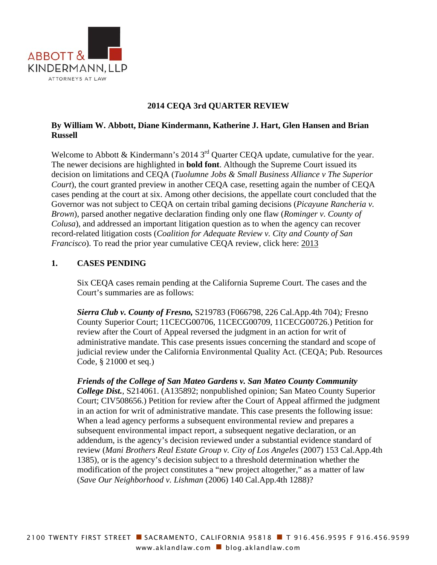

### **2014 CEQA 3rd QUARTER REVIEW**

### **By William W. Abbott, Diane Kindermann, Katherine J. Hart, Glen Hansen and Brian Russell**

Welcome to Abbott & Kindermann's 2014 3<sup>rd</sup> Quarter CEQA update, cumulative for the year. The newer decisions are highlighted in **bold font**. Although the Supreme Court issued its decision on limitations and CEQA (*Tuolumne Jobs & Small Business Alliance v The Superior Court*), the court granted preview in another CEQA case, resetting again the number of CEQA cases pending at the court at six. Among other decisions, the appellate court concluded that the Governor was not subject to CEQA on certain tribal gaming decisions (*Picayune Rancheria v. Brown*), parsed another negative declaration finding only one flaw (*Rominger v. County of Colusa*), and addressed an important litigation question as to when the agency can recover record-related litigation costs (*Coalition for Adequate Review v. City and County of San Francisco*). To read the prior year cumulative CEQA review, click here: 2013

#### **1. CASES PENDING**

Six CEQA cases remain pending at the California Supreme Court. The cases and the Court's summaries are as follows:

*Sierra Club v. County of Fresno,* S219783 (F066798, 226 Cal.App.4th 704)*;* Fresno County Superior Court; 11CECG00706, 11CECG00709, 11CECG00726.) Petition for review after the Court of Appeal reversed the judgment in an action for writ of administrative mandate. This case presents issues concerning the standard and scope of judicial review under the California Environmental Quality Act. (CEQA; Pub. Resources Code, § 21000 et seq.)

*Friends of the College of San Mateo Gardens v. San Mateo County Community College Dist.*, S214061. (A135892; nonpublished opinion; San Mateo County Superior Court; CIV508656.) Petition for review after the Court of Appeal affirmed the judgment in an action for writ of administrative mandate. This case presents the following issue: When a lead agency performs a subsequent environmental review and prepares a subsequent environmental impact report, a subsequent negative declaration, or an addendum, is the agency's decision reviewed under a substantial evidence standard of review (*Mani Brothers Real Estate Group v. City of Los Angeles* (2007) 153 Cal.App.4th 1385), or is the agency's decision subject to a threshold determination whether the modification of the project constitutes a "new project altogether," as a matter of law (*Save Our Neighborhood v. Lishman* (2006) 140 Cal.App.4th 1288)?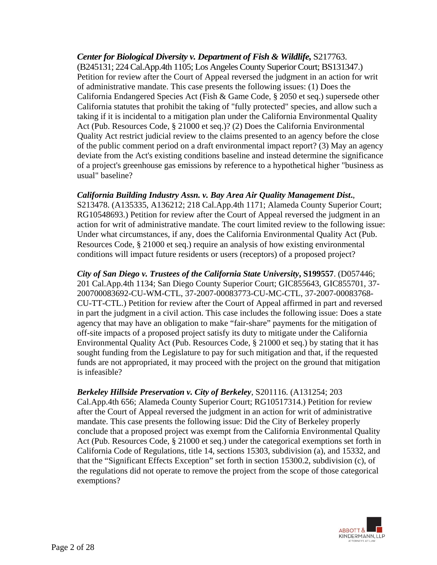### *Center for Biological Diversity v. Department of Fish & Wildlife,* S217763.

(B245131; 224 Cal.App.4th 1105; Los Angeles County Superior Court; BS131347.) Petition for review after the Court of Appeal reversed the judgment in an action for writ of administrative mandate. This case presents the following issues: (1) Does the California Endangered Species Act (Fish & Game Code, § 2050 et seq.) supersede other California statutes that prohibit the taking of "fully protected" species, and allow such a taking if it is incidental to a mitigation plan under the California Environmental Quality Act (Pub. Resources Code, § 21000 et seq.)? (2) Does the California Environmental Quality Act restrict judicial review to the claims presented to an agency before the close of the public comment period on a draft environmental impact report? (3) May an agency deviate from the Act's existing conditions baseline and instead determine the significance of a project's greenhouse gas emissions by reference to a hypothetical higher "business as usual" baseline?

### *California Building Industry Assn. v. Bay Area Air Quality Management Dist***.**,

S213478. (A135335, A136212; 218 Cal.App.4th 1171; Alameda County Superior Court; RG10548693.) Petition for review after the Court of Appeal reversed the judgment in an action for writ of administrative mandate. The court limited review to the following issue: Under what circumstances, if any, does the California Environmental Quality Act (Pub. Resources Code, § 21000 et seq.) require an analysis of how existing environmental conditions will impact future residents or users (receptors) of a proposed project?

*City of San Diego v. Trustees of the California State University***, S199557**. (D057446; 201 Cal.App.4th 1134; San Diego County Superior Court; GIC855643, GIC855701, 37- 200700083692-CU-WM-CTL, 37-2007-00083773-CU-MC-CTL, 37-2007-00083768- CU-TT-CTL.) Petition for review after the Court of Appeal affirmed in part and reversed in part the judgment in a civil action. This case includes the following issue: Does a state agency that may have an obligation to make "fair-share" payments for the mitigation of off-site impacts of a proposed project satisfy its duty to mitigate under the California Environmental Quality Act (Pub. Resources Code, § 21000 et seq.) by stating that it has sought funding from the Legislature to pay for such mitigation and that, if the requested funds are not appropriated, it may proceed with the project on the ground that mitigation is infeasible?

### *Berkeley Hillside Preservation v. City of Berkeley*, S201116. (A131254; 203

Cal.App.4th 656; Alameda County Superior Court; RG10517314.) Petition for review after the Court of Appeal reversed the judgment in an action for writ of administrative mandate. This case presents the following issue: Did the City of Berkeley properly conclude that a proposed project was exempt from the California Environmental Quality Act (Pub. Resources Code, § 21000 et seq.) under the categorical exemptions set forth in California Code of Regulations, title 14, sections 15303, subdivision (a), and 15332, and that the "Significant Effects Exception" set forth in section 15300.2, subdivision (c), of the regulations did not operate to remove the project from the scope of those categorical exemptions?

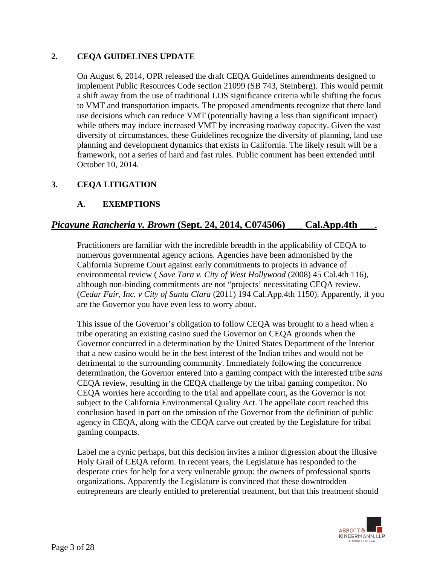### **2. CEQA GUIDELINES UPDATE**

On August 6, 2014, OPR released the draft CEQA Guidelines amendments designed to implement Public Resources Code section 21099 (SB 743, Steinberg). This would permit a shift away from the use of traditional LOS significance criteria while shifting the focus to VMT and transportation impacts. The proposed amendments recognize that there land use decisions which can reduce VMT (potentially having a less than significant impact) while others may induce increased VMT by increasing roadway capacity. Given the vast diversity of circumstances, these Guidelines recognize the diversity of planning, land use planning and development dynamics that exists in California. The likely result will be a framework, not a series of hard and fast rules. Public comment has been extended until October 10, 2014.

## **3. CEQA LITIGATION**

## **A. EXEMPTIONS**

# *Picayune Rancheria v. Brown* **(Sept. 24, 2014, C074506) \_\_\_ Cal.App.4th \_\_\_.**

Practitioners are familiar with the incredible breadth in the applicability of CEQA to numerous governmental agency actions. Agencies have been admonished by the California Supreme Court against early commitments to projects in advance of environmental review ( *Save Tara v. City of West Hollywood* (2008) 45 Cal.4th 116), although non-binding commitments are not "projects' necessitating CEQA review. (*Cedar Fair, Inc. v City of Santa Clara* (2011) 194 Cal.App.4th 1150). Apparently, if you are the Governor you have even less to worry about.

This issue of the Governor's obligation to follow CEQA was brought to a head when a tribe operating an existing casino sued the Governor on CEQA grounds when the Governor concurred in a determination by the United States Department of the Interior that a new casino would be in the best interest of the Indian tribes and would not be detrimental to the surrounding community. Immediately following the concurrence determination, the Governor entered into a gaming compact with the interested tribe *sans* CEQA review, resulting in the CEQA challenge by the tribal gaming competitor. No CEQA worries here according to the trial and appellate court, as the Governor is not subject to the California Environmental Quality Act. The appellate court reached this conclusion based in part on the omission of the Governor from the definition of public agency in CEQA, along with the CEQA carve out created by the Legislature for tribal gaming compacts.

Label me a cynic perhaps, but this decision invites a minor digression about the illusive Holy Grail of CEQA reform. In recent years, the Legislature has responded to the desperate cries for help for a very vulnerable group: the owners of professional sports organizations. Apparently the Legislature is convinced that these downtrodden entrepreneurs are clearly entitled to preferential treatment, but that this treatment should

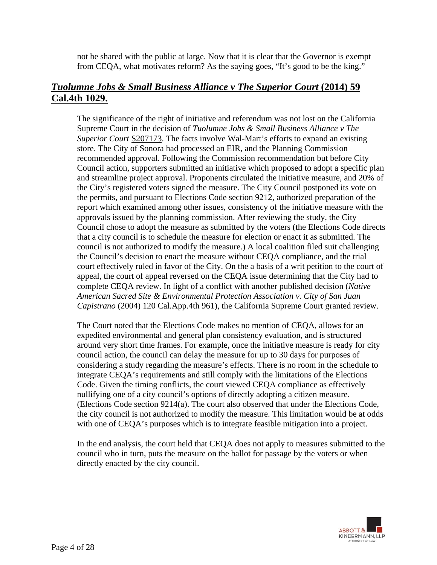not be shared with the public at large. Now that it is clear that the Governor is exempt from CEQA, what motivates reform? As the saying goes, "It's good to be the king."

# *Tuolumne Jobs & Small Business Alliance v The Superior Court* **(2014) 59 Cal.4th 1029.**

The significance of the right of initiative and referendum was not lost on the California Supreme Court in the decision of *Tuolumne Jobs & Small Business Alliance v The Superior Court* S207173. The facts involve Wal-Mart's efforts to expand an existing store. The City of Sonora had processed an EIR, and the Planning Commission recommended approval. Following the Commission recommendation but before City Council action, supporters submitted an initiative which proposed to adopt a specific plan and streamline project approval. Proponents circulated the initiative measure, and 20% of the City's registered voters signed the measure. The City Council postponed its vote on the permits, and pursuant to Elections Code section 9212, authorized preparation of the report which examined among other issues, consistency of the initiative measure with the approvals issued by the planning commission. After reviewing the study, the City Council chose to adopt the measure as submitted by the voters (the Elections Code directs that a city council is to schedule the measure for election or enact it as submitted. The council is not authorized to modify the measure.) A local coalition filed suit challenging the Council's decision to enact the measure without CEQA compliance, and the trial court effectively ruled in favor of the City. On the a basis of a writ petition to the court of appeal, the court of appeal reversed on the CEQA issue determining that the City had to complete CEQA review. In light of a conflict with another published decision (*Native American Sacred Site & Environmental Protection Association v. City of San Juan Capistrano* (2004) 120 Cal.App.4th 961), the California Supreme Court granted review.

The Court noted that the Elections Code makes no mention of CEQA, allows for an expedited environmental and general plan consistency evaluation, and is structured around very short time frames. For example, once the initiative measure is ready for city council action, the council can delay the measure for up to 30 days for purposes of considering a study regarding the measure's effects. There is no room in the schedule to integrate CEQA's requirements and still comply with the limitations of the Elections Code. Given the timing conflicts, the court viewed CEQA compliance as effectively nullifying one of a city council's options of directly adopting a citizen measure. (Elections Code section 9214(a). The court also observed that under the Elections Code, the city council is not authorized to modify the measure. This limitation would be at odds with one of CEQA's purposes which is to integrate feasible mitigation into a project.

In the end analysis, the court held that CEQA does not apply to measures submitted to the council who in turn, puts the measure on the ballot for passage by the voters or when directly enacted by the city council.

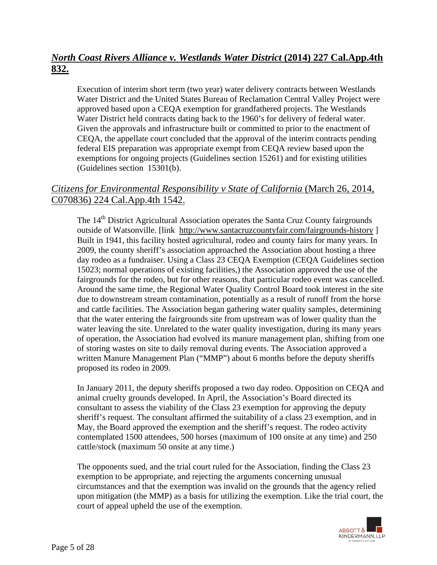# *North Coast Rivers Alliance v. Westlands Water District* **(2014) 227 Cal.App.4th 832.**

Execution of interim short term (two year) water delivery contracts between Westlands Water District and the United States Bureau of Reclamation Central Valley Project were approved based upon a CEQA exemption for grandfathered projects. The Westlands Water District held contracts dating back to the 1960's for delivery of federal water. Given the approvals and infrastructure built or committed to prior to the enactment of CEQA, the appellate court concluded that the approval of the interim contracts pending federal EIS preparation was appropriate exempt from CEQA review based upon the exemptions for ongoing projects (Guidelines section 15261) and for existing utilities (Guidelines section 15301(b).

# *Citizens for Environmental Responsibility v State of California* (March 26, 2014, C070836) 224 Cal.App.4th 1542.

The 14<sup>th</sup> District Agricultural Association operates the Santa Cruz County fairgrounds outside of Watsonville. [link http://www.santacruzcountyfair.com/fairgrounds-history ] Built in 1941, this facility hosted agricultural, rodeo and county fairs for many years. In 2009, the county sheriff's association approached the Association about hosting a three day rodeo as a fundraiser. Using a Class 23 CEQA Exemption (CEQA Guidelines section 15023; normal operations of existing facilities,) the Association approved the use of the fairgrounds for the rodeo, but for other reasons, that particular rodeo event was cancelled. Around the same time, the Regional Water Quality Control Board took interest in the site due to downstream stream contamination, potentially as a result of runoff from the horse and cattle facilities. The Association began gathering water quality samples, determining that the water entering the fairgrounds site from upstream was of lower quality than the water leaving the site. Unrelated to the water quality investigation, during its many years of operation, the Association had evolved its manure management plan, shifting from one of storing wastes on site to daily removal during events. The Association approved a written Manure Management Plan ("MMP") about 6 months before the deputy sheriffs proposed its rodeo in 2009.

In January 2011, the deputy sheriffs proposed a two day rodeo. Opposition on CEQA and animal cruelty grounds developed. In April, the Association's Board directed its consultant to assess the viability of the Class 23 exemption for approving the deputy sheriff's request. The consultant affirmed the suitability of a class 23 exemption, and in May, the Board approved the exemption and the sheriff's request. The rodeo activity contemplated 1500 attendees, 500 horses (maximum of 100 onsite at any time) and 250 cattle/stock (maximum 50 onsite at any time.)

The opponents sued, and the trial court ruled for the Association, finding the Class 23 exemption to be appropriate, and rejecting the arguments concerning unusual circumstances and that the exemption was invalid on the grounds that the agency relied upon mitigation (the MMP) as a basis for utilizing the exemption. Like the trial court, the court of appeal upheld the use of the exemption.

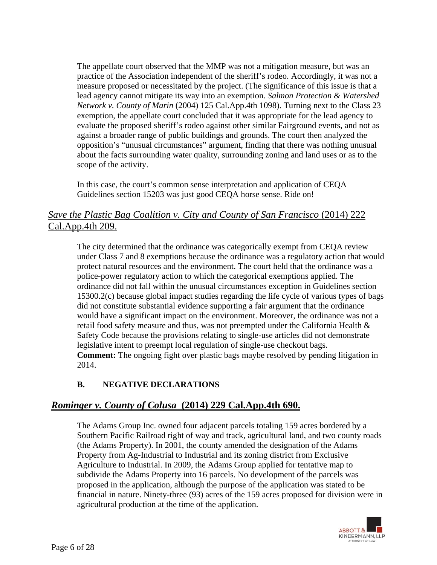The appellate court observed that the MMP was not a mitigation measure, but was an practice of the Association independent of the sheriff's rodeo. Accordingly, it was not a measure proposed or necessitated by the project. (The significance of this issue is that a lead agency cannot mitigate its way into an exemption. *Salmon Protection & Watershed Network v. County of Marin* (2004) 125 Cal.App.4th 1098). Turning next to the Class 23 exemption, the appellate court concluded that it was appropriate for the lead agency to evaluate the proposed sheriff's rodeo against other similar Fairground events, and not as against a broader range of public buildings and grounds. The court then analyzed the opposition's "unusual circumstances" argument, finding that there was nothing unusual about the facts surrounding water quality, surrounding zoning and land uses or as to the scope of the activity.

In this case, the court's common sense interpretation and application of CEQA Guidelines section 15203 was just good CEQA horse sense. Ride on!

## *Save the Plastic Bag Coalition v. City and County of San Francisco* (2014) 222 Cal.App.4th 209.

The city determined that the ordinance was categorically exempt from CEQA review under Class 7 and 8 exemptions because the ordinance was a regulatory action that would protect natural resources and the environment. The court held that the ordinance was a police-power regulatory action to which the categorical exemptions applied. The ordinance did not fall within the unusual circumstances exception in Guidelines section 15300.2(c) because global impact studies regarding the life cycle of various types of bags did not constitute substantial evidence supporting a fair argument that the ordinance would have a significant impact on the environment. Moreover, the ordinance was not a retail food safety measure and thus, was not preempted under the California Health & Safety Code because the provisions relating to single-use articles did not demonstrate legislative intent to preempt local regulation of single-use checkout bags. **Comment:** The ongoing fight over plastic bags maybe resolved by pending litigation in 2014.

# **B. NEGATIVE DECLARATIONS**

# *Rominger v. County of Colusa* **(2014) 229 Cal.App.4th 690.**

The Adams Group Inc. owned four adjacent parcels totaling 159 acres bordered by a Southern Pacific Railroad right of way and track, agricultural land, and two county roads (the Adams Property). In 2001, the county amended the designation of the Adams Property from Ag-Industrial to Industrial and its zoning district from Exclusive Agriculture to Industrial. In 2009, the Adams Group applied for tentative map to subdivide the Adams Property into 16 parcels. No development of the parcels was proposed in the application, although the purpose of the application was stated to be financial in nature. Ninety-three (93) acres of the 159 acres proposed for division were in agricultural production at the time of the application.

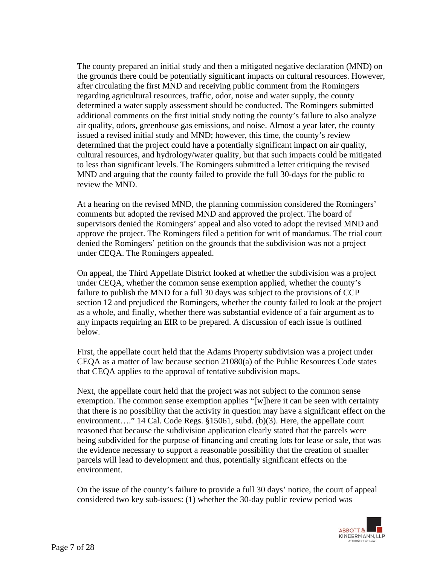The county prepared an initial study and then a mitigated negative declaration (MND) on the grounds there could be potentially significant impacts on cultural resources. However, after circulating the first MND and receiving public comment from the Romingers regarding agricultural resources, traffic, odor, noise and water supply, the county determined a water supply assessment should be conducted. The Romingers submitted additional comments on the first initial study noting the county's failure to also analyze air quality, odors, greenhouse gas emissions, and noise. Almost a year later, the county issued a revised initial study and MND; however, this time, the county's review determined that the project could have a potentially significant impact on air quality, cultural resources, and hydrology/water quality, but that such impacts could be mitigated to less than significant levels. The Romingers submitted a letter critiquing the revised MND and arguing that the county failed to provide the full 30-days for the public to review the MND.

At a hearing on the revised MND, the planning commission considered the Romingers' comments but adopted the revised MND and approved the project. The board of supervisors denied the Romingers' appeal and also voted to adopt the revised MND and approve the project. The Romingers filed a petition for writ of mandamus. The trial court denied the Romingers' petition on the grounds that the subdivision was not a project under CEQA. The Romingers appealed.

On appeal, the Third Appellate District looked at whether the subdivision was a project under CEQA, whether the common sense exemption applied, whether the county's failure to publish the MND for a full 30 days was subject to the provisions of CCP section 12 and prejudiced the Romingers, whether the county failed to look at the project as a whole, and finally, whether there was substantial evidence of a fair argument as to any impacts requiring an EIR to be prepared. A discussion of each issue is outlined below.

First, the appellate court held that the Adams Property subdivision was a project under CEQA as a matter of law because section 21080(a) of the Public Resources Code states that CEQA applies to the approval of tentative subdivision maps.

Next, the appellate court held that the project was not subject to the common sense exemption. The common sense exemption applies "[w]here it can be seen with certainty that there is no possibility that the activity in question may have a significant effect on the environment…." 14 Cal. Code Regs. §15061, subd. (b)(3). Here, the appellate court reasoned that because the subdivision application clearly stated that the parcels were being subdivided for the purpose of financing and creating lots for lease or sale, that was the evidence necessary to support a reasonable possibility that the creation of smaller parcels will lead to development and thus, potentially significant effects on the environment.

On the issue of the county's failure to provide a full 30 days' notice, the court of appeal considered two key sub-issues: (1) whether the 30-day public review period was

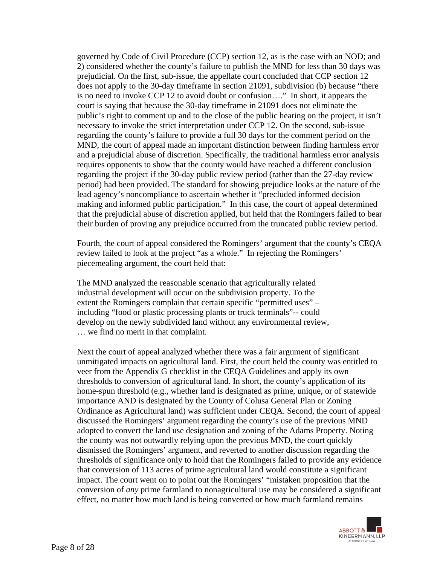governed by Code of Civil Procedure (CCP) section 12, as is the case with an NOD; and 2) considered whether the county's failure to publish the MND for less than 30 days was prejudicial. On the first, sub-issue, the appellate court concluded that CCP section 12 does not apply to the 30-day timeframe in section 21091, subdivision (b) because "there is no need to invoke CCP 12 to avoid doubt or confusion…." In short, it appears the court is saying that because the 30-day timeframe in 21091 does not eliminate the public's right to comment up and to the close of the public hearing on the project, it isn't necessary to invoke the strict interpretation under CCP 12. On the second, sub-issue regarding the county's failure to provide a full 30 days for the comment period on the MND, the court of appeal made an important distinction between finding harmless error and a prejudicial abuse of discretion. Specifically, the traditional harmless error analysis requires opponents to show that the county would have reached a different conclusion regarding the project if the 30-day public review period (rather than the 27-day review period) had been provided. The standard for showing prejudice looks at the nature of the lead agency's noncompliance to ascertain whether it "precluded informed decision making and informed public participation." In this case, the court of appeal determined that the prejudicial abuse of discretion applied, but held that the Romingers failed to bear their burden of proving any prejudice occurred from the truncated public review period.

Fourth, the court of appeal considered the Romingers' argument that the county's CEQA review failed to look at the project "as a whole." In rejecting the Romingers' piecemealing argument, the court held that:

The MND analyzed the reasonable scenario that agriculturally related industrial development will occur on the subdivision property. To the extent the Romingers complain that certain specific "permitted uses" – including "food or plastic processing plants or truck terminals"-- could develop on the newly subdivided land without any environmental review, … we find no merit in that complaint.

Next the court of appeal analyzed whether there was a fair argument of significant unmitigated impacts on agricultural land. First, the court held the county was entitled to veer from the Appendix G checklist in the CEQA Guidelines and apply its own thresholds to conversion of agricultural land. In short, the county's application of its home-spun threshold (e.g., whether land is designated as prime, unique, or of statewide importance AND is designated by the County of Colusa General Plan or Zoning Ordinance as Agricultural land) was sufficient under CEQA. Second, the court of appeal discussed the Romingers' argument regarding the county's use of the previous MND adopted to convert the land use designation and zoning of the Adams Property. Noting the county was not outwardly relying upon the previous MND, the court quickly dismissed the Romingers' argument, and reverted to another discussion regarding the thresholds of significance only to hold that the Romingers failed to provide any evidence that conversion of 113 acres of prime agricultural land would constitute a significant impact. The court went on to point out the Romingers' "mistaken proposition that the conversion of *any* prime farmland to nonagricultural use may be considered a significant effect, no matter how much land is being converted or how much farmland remains

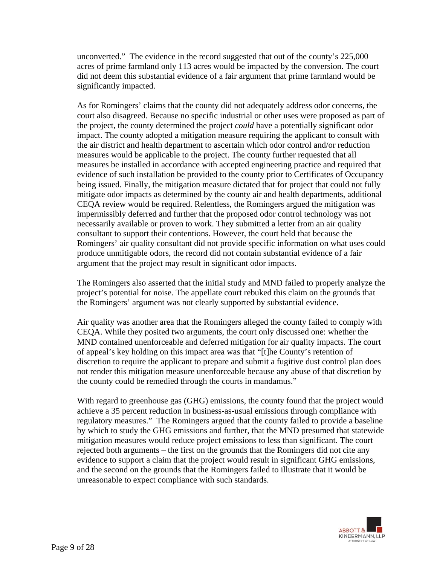unconverted." The evidence in the record suggested that out of the county's 225,000 acres of prime farmland only 113 acres would be impacted by the conversion. The court did not deem this substantial evidence of a fair argument that prime farmland would be significantly impacted.

As for Romingers' claims that the county did not adequately address odor concerns, the court also disagreed. Because no specific industrial or other uses were proposed as part of the project, the county determined the project *could* have a potentially significant odor impact. The county adopted a mitigation measure requiring the applicant to consult with the air district and health department to ascertain which odor control and/or reduction measures would be applicable to the project. The county further requested that all measures be installed in accordance with accepted engineering practice and required that evidence of such installation be provided to the county prior to Certificates of Occupancy being issued. Finally, the mitigation measure dictated that for project that could not fully mitigate odor impacts as determined by the county air and health departments, additional CEQA review would be required. Relentless, the Romingers argued the mitigation was impermissibly deferred and further that the proposed odor control technology was not necessarily available or proven to work. They submitted a letter from an air quality consultant to support their contentions. However, the court held that because the Romingers' air quality consultant did not provide specific information on what uses could produce unmitigable odors, the record did not contain substantial evidence of a fair argument that the project may result in significant odor impacts.

The Romingers also asserted that the initial study and MND failed to properly analyze the project's potential for noise. The appellate court rebuked this claim on the grounds that the Romingers' argument was not clearly supported by substantial evidence.

Air quality was another area that the Romingers alleged the county failed to comply with CEQA. While they posited two arguments, the court only discussed one: whether the MND contained unenforceable and deferred mitigation for air quality impacts. The court of appeal's key holding on this impact area was that "[t]he County's retention of discretion to require the applicant to prepare and submit a fugitive dust control plan does not render this mitigation measure unenforceable because any abuse of that discretion by the county could be remedied through the courts in mandamus."

With regard to greenhouse gas (GHG) emissions, the county found that the project would achieve a 35 percent reduction in business-as-usual emissions through compliance with regulatory measures." The Romingers argued that the county failed to provide a baseline by which to study the GHG emissions and further, that the MND presumed that statewide mitigation measures would reduce project emissions to less than significant. The court rejected both arguments – the first on the grounds that the Romingers did not cite any evidence to support a claim that the project would result in significant GHG emissions, and the second on the grounds that the Romingers failed to illustrate that it would be unreasonable to expect compliance with such standards.

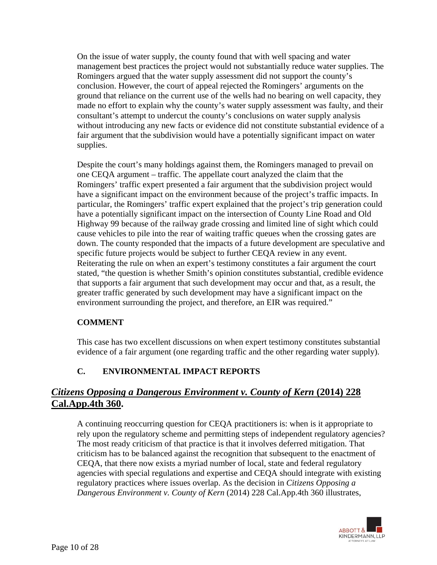On the issue of water supply, the county found that with well spacing and water management best practices the project would not substantially reduce water supplies. The Romingers argued that the water supply assessment did not support the county's conclusion. However, the court of appeal rejected the Romingers' arguments on the ground that reliance on the current use of the wells had no bearing on well capacity, they made no effort to explain why the county's water supply assessment was faulty, and their consultant's attempt to undercut the county's conclusions on water supply analysis without introducing any new facts or evidence did not constitute substantial evidence of a fair argument that the subdivision would have a potentially significant impact on water supplies.

Despite the court's many holdings against them, the Romingers managed to prevail on one CEQA argument – traffic. The appellate court analyzed the claim that the Romingers' traffic expert presented a fair argument that the subdivision project would have a significant impact on the environment because of the project's traffic impacts. In particular, the Romingers' traffic expert explained that the project's trip generation could have a potentially significant impact on the intersection of County Line Road and Old Highway 99 because of the railway grade crossing and limited line of sight which could cause vehicles to pile into the rear of waiting traffic queues when the crossing gates are down. The county responded that the impacts of a future development are speculative and specific future projects would be subject to further CEQA review in any event. Reiterating the rule on when an expert's testimony constitutes a fair argument the court stated, "the question is whether Smith's opinion constitutes substantial, credible evidence that supports a fair argument that such development may occur and that, as a result, the greater traffic generated by such development may have a significant impact on the environment surrounding the project, and therefore, an EIR was required."

### **COMMENT**

This case has two excellent discussions on when expert testimony constitutes substantial evidence of a fair argument (one regarding traffic and the other regarding water supply).

## **C. ENVIRONMENTAL IMPACT REPORTS**

# *Citizens Opposing a Dangerous Environment v. County of Kern* **(2014) 228 Cal.App.4th 360.**

A continuing reoccurring question for CEQA practitioners is: when is it appropriate to rely upon the regulatory scheme and permitting steps of independent regulatory agencies? The most ready criticism of that practice is that it involves deferred mitigation. That criticism has to be balanced against the recognition that subsequent to the enactment of CEQA, that there now exists a myriad number of local, state and federal regulatory agencies with special regulations and expertise and CEQA should integrate with existing regulatory practices where issues overlap. As the decision in *Citizens Opposing a Dangerous Environment v. County of Kern* (2014) 228 Cal.App.4th 360 illustrates,

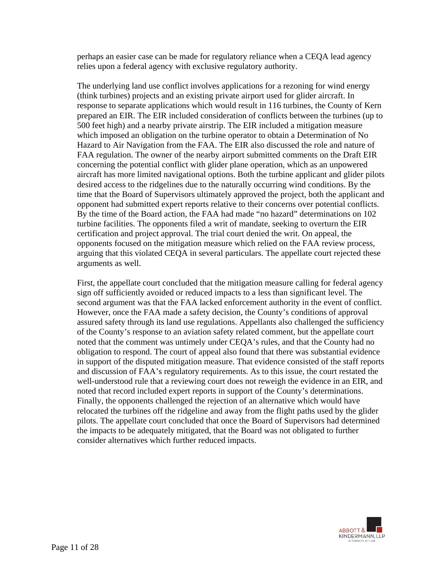perhaps an easier case can be made for regulatory reliance when a CEQA lead agency relies upon a federal agency with exclusive regulatory authority.

The underlying land use conflict involves applications for a rezoning for wind energy (think turbines) projects and an existing private airport used for glider aircraft. In response to separate applications which would result in 116 turbines, the County of Kern prepared an EIR. The EIR included consideration of conflicts between the turbines (up to 500 feet high) and a nearby private airstrip. The EIR included a mitigation measure which imposed an obligation on the turbine operator to obtain a Determination of No Hazard to Air Navigation from the FAA. The EIR also discussed the role and nature of FAA regulation. The owner of the nearby airport submitted comments on the Draft EIR concerning the potential conflict with glider plane operation, which as an unpowered aircraft has more limited navigational options. Both the turbine applicant and glider pilots desired access to the ridgelines due to the naturally occurring wind conditions. By the time that the Board of Supervisors ultimately approved the project, both the applicant and opponent had submitted expert reports relative to their concerns over potential conflicts. By the time of the Board action, the FAA had made "no hazard" determinations on 102 turbine facilities. The opponents filed a writ of mandate, seeking to overturn the EIR certification and project approval. The trial court denied the writ. On appeal, the opponents focused on the mitigation measure which relied on the FAA review process, arguing that this violated CEQA in several particulars. The appellate court rejected these arguments as well.

First, the appellate court concluded that the mitigation measure calling for federal agency sign off sufficiently avoided or reduced impacts to a less than significant level. The second argument was that the FAA lacked enforcement authority in the event of conflict. However, once the FAA made a safety decision, the County's conditions of approval assured safety through its land use regulations. Appellants also challenged the sufficiency of the County's response to an aviation safety related comment, but the appellate court noted that the comment was untimely under CEQA's rules, and that the County had no obligation to respond. The court of appeal also found that there was substantial evidence in support of the disputed mitigation measure. That evidence consisted of the staff reports and discussion of FAA's regulatory requirements. As to this issue, the court restated the well-understood rule that a reviewing court does not reweigh the evidence in an EIR, and noted that record included expert reports in support of the County's determinations. Finally, the opponents challenged the rejection of an alternative which would have relocated the turbines off the ridgeline and away from the flight paths used by the glider pilots. The appellate court concluded that once the Board of Supervisors had determined the impacts to be adequately mitigated, that the Board was not obligated to further consider alternatives which further reduced impacts.

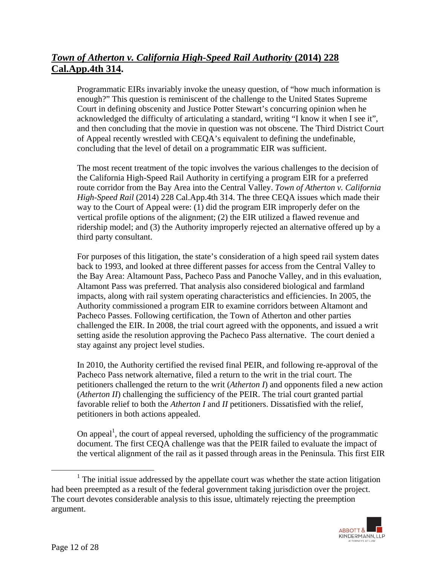# *Town of Atherton v. California High-Speed Rail Authority* **(2014) 228 Cal.App.4th 314.**

Programmatic EIRs invariably invoke the uneasy question, of "how much information is enough?" This question is reminiscent of the challenge to the United States Supreme Court in defining obscenity and Justice Potter Stewart's concurring opinion when he acknowledged the difficulty of articulating a standard, writing "I know it when I see it", and then concluding that the movie in question was not obscene. The Third District Court of Appeal recently wrestled with CEQA's equivalent to defining the undefinable, concluding that the level of detail on a programmatic EIR was sufficient.

The most recent treatment of the topic involves the various challenges to the decision of the California High-Speed Rail Authority in certifying a program EIR for a preferred route corridor from the Bay Area into the Central Valley. *Town of Atherton v. California High-Speed Rail* (2014) 228 Cal.App.4th 314. The three CEQA issues which made their way to the Court of Appeal were: (1) did the program EIR improperly defer on the vertical profile options of the alignment; (2) the EIR utilized a flawed revenue and ridership model; and (3) the Authority improperly rejected an alternative offered up by a third party consultant.

For purposes of this litigation, the state's consideration of a high speed rail system dates back to 1993, and looked at three different passes for access from the Central Valley to the Bay Area: Altamount Pass, Pacheco Pass and Panoche Valley, and in this evaluation, Altamont Pass was preferred. That analysis also considered biological and farmland impacts, along with rail system operating characteristics and efficiencies. In 2005, the Authority commissioned a program EIR to examine corridors between Altamont and Pacheco Passes. Following certification, the Town of Atherton and other parties challenged the EIR. In 2008, the trial court agreed with the opponents, and issued a writ setting aside the resolution approving the Pacheco Pass alternative. The court denied a stay against any project level studies.

In 2010, the Authority certified the revised final PEIR, and following re-approval of the Pacheco Pass network alternative, filed a return to the writ in the trial court. The petitioners challenged the return to the writ (*Atherton I*) and opponents filed a new action (*Atherton II*) challenging the sufficiency of the PEIR. The trial court granted partial favorable relief to both the *Atherton I* and *II* petitioners. Dissatisfied with the relief, petitioners in both actions appealed.

On appeal<sup>1</sup>, the court of appeal reversed, upholding the sufficiency of the programmatic document. The first CEQA challenge was that the PEIR failed to evaluate the impact of the vertical alignment of the rail as it passed through areas in the Peninsula. This first EIR

 $\frac{1}{1}$  $1$  The initial issue addressed by the appellate court was whether the state action litigation had been preempted as a result of the federal government taking jurisdiction over the project. The court devotes considerable analysis to this issue, ultimately rejecting the preemption argument.

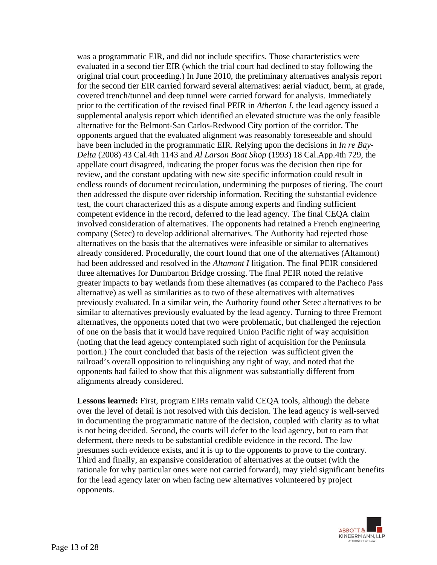was a programmatic EIR, and did not include specifics. Those characteristics were evaluated in a second tier EIR (which the trial court had declined to stay following the original trial court proceeding.) In June 2010, the preliminary alternatives analysis report for the second tier EIR carried forward several alternatives: aerial viaduct, berm, at grade, covered trench/tunnel and deep tunnel were carried forward for analysis. Immediately prior to the certification of the revised final PEIR in *Atherton I*, the lead agency issued a supplemental analysis report which identified an elevated structure was the only feasible alternative for the Belmont-San Carlos-Redwood City portion of the corridor. The opponents argued that the evaluated alignment was reasonably foreseeable and should have been included in the programmatic EIR. Relying upon the decisions in *In re Bay-Delta* (2008) 43 Cal.4th 1143 and *Al Larson Boat Shop* (1993) 18 Cal.App.4th 729, the appellate court disagreed, indicating the proper focus was the decision then ripe for review, and the constant updating with new site specific information could result in endless rounds of document recirculation, undermining the purposes of tiering. The court then addressed the dispute over ridership information. Reciting the substantial evidence test, the court characterized this as a dispute among experts and finding sufficient competent evidence in the record, deferred to the lead agency. The final CEQA claim involved consideration of alternatives. The opponents had retained a French engineering company (Setec) to develop additional alternatives. The Authority had rejected those alternatives on the basis that the alternatives were infeasible or similar to alternatives already considered. Procedurally, the court found that one of the alternatives (Altamont) had been addressed and resolved in the *Altamont I* litigation. The final PEIR considered three alternatives for Dumbarton Bridge crossing. The final PEIR noted the relative greater impacts to bay wetlands from these alternatives (as compared to the Pacheco Pass alternative) as well as similarities as to two of these alternatives with alternatives previously evaluated. In a similar vein, the Authority found other Setec alternatives to be similar to alternatives previously evaluated by the lead agency. Turning to three Fremont alternatives, the opponents noted that two were problematic, but challenged the rejection of one on the basis that it would have required Union Pacific right of way acquisition (noting that the lead agency contemplated such right of acquisition for the Peninsula portion.) The court concluded that basis of the rejection was sufficient given the railroad's overall opposition to relinquishing any right of way, and noted that the opponents had failed to show that this alignment was substantially different from alignments already considered.

**Lessons learned:** First, program EIRs remain valid CEQA tools, although the debate over the level of detail is not resolved with this decision. The lead agency is well-served in documenting the programmatic nature of the decision, coupled with clarity as to what is not being decided. Second, the courts will defer to the lead agency, but to earn that deferment, there needs to be substantial credible evidence in the record. The law presumes such evidence exists, and it is up to the opponents to prove to the contrary. Third and finally, an expansive consideration of alternatives at the outset (with the rationale for why particular ones were not carried forward), may yield significant benefits for the lead agency later on when facing new alternatives volunteered by project opponents.

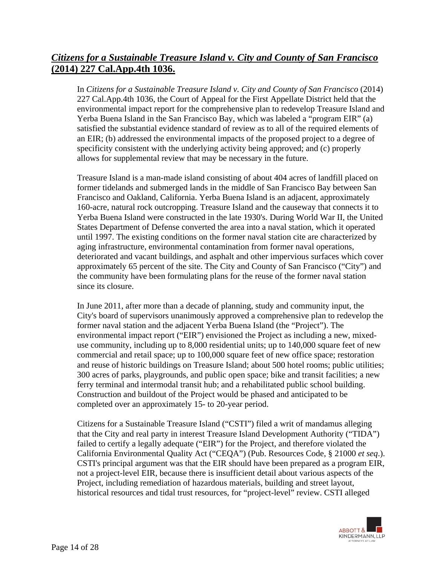# *Citizens for a Sustainable Treasure Island v. City and County of San Francisco* **(2014) 227 Cal.App.4th 1036.**

In *Citizens for a Sustainable Treasure Island v. City and County of San Francisco* (2014) 227 Cal.App.4th 1036, the Court of Appeal for the First Appellate District held that the environmental impact report for the comprehensive plan to redevelop Treasure Island and Yerba Buena Island in the San Francisco Bay, which was labeled a "program EIR" (a) satisfied the substantial evidence standard of review as to all of the required elements of an EIR; (b) addressed the environmental impacts of the proposed project to a degree of specificity consistent with the underlying activity being approved; and (c) properly allows for supplemental review that may be necessary in the future.

Treasure Island is a man-made island consisting of about 404 acres of landfill placed on former tidelands and submerged lands in the middle of San Francisco Bay between San Francisco and Oakland, California. Yerba Buena Island is an adjacent, approximately 160-acre, natural rock outcropping. Treasure Island and the causeway that connects it to Yerba Buena Island were constructed in the late 1930's. During World War II, the United States Department of Defense converted the area into a naval station, which it operated until 1997. The existing conditions on the former naval station cite are characterized by aging infrastructure, environmental contamination from former naval operations, deteriorated and vacant buildings, and asphalt and other impervious surfaces which cover approximately 65 percent of the site. The City and County of San Francisco ("City") and the community have been formulating plans for the reuse of the former naval station since its closure.

In June 2011, after more than a decade of planning, study and community input, the City's board of supervisors unanimously approved a comprehensive plan to redevelop the former naval station and the adjacent Yerba Buena Island (the "Project"). The environmental impact report ("EIR") envisioned the Project as including a new, mixeduse community, including up to 8,000 residential units; up to 140,000 square feet of new commercial and retail space; up to 100,000 square feet of new office space; restoration and reuse of historic buildings on Treasure Island; about 500 hotel rooms; public utilities; 300 acres of parks, playgrounds, and public open space; bike and transit facilities; a new ferry terminal and intermodal transit hub; and a rehabilitated public school building. Construction and buildout of the Project would be phased and anticipated to be completed over an approximately 15- to 20-year period.

Citizens for a Sustainable Treasure Island ("CSTI") filed a writ of mandamus alleging that the City and real party in interest Treasure Island Development Authority ("TIDA") failed to certify a legally adequate ("EIR") for the Project, and therefore violated the California Environmental Quality Act ("CEQA") (Pub. Resources Code, § 21000 *et seq*.). CSTI's principal argument was that the EIR should have been prepared as a program EIR, not a project-level EIR, because there is insufficient detail about various aspects of the Project, including remediation of hazardous materials, building and street layout, historical resources and tidal trust resources, for "project-level" review. CSTI alleged

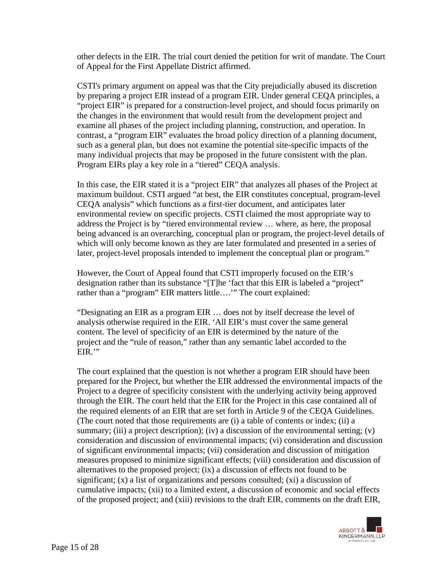other defects in the EIR. The trial court denied the petition for writ of mandate. The Court of Appeal for the First Appellate District affirmed.

CSTI's primary argument on appeal was that the City prejudicially abused its discretion by preparing a project EIR instead of a program EIR. Under general CEQA principles, a "project EIR" is prepared for a construction-level project, and should focus primarily on the changes in the environment that would result from the development project and examine all phases of the project including planning, construction, and operation. In contrast, a "program EIR" evaluates the broad policy direction of a planning document, such as a general plan, but does not examine the potential site-specific impacts of the many individual projects that may be proposed in the future consistent with the plan. Program EIRs play a key role in a "tiered" CEQA analysis.

In this case, the EIR stated it is a "project EIR" that analyzes all phases of the Project at maximum buildout. CSTI argued "at best, the EIR constitutes conceptual, program-level CEQA analysis" which functions as a first-tier document, and anticipates later environmental review on specific projects. CSTI claimed the most appropriate way to address the Project is by "tiered environmental review … where, as here, the proposal being advanced is an overarching, conceptual plan or program, the project-level details of which will only become known as they are later formulated and presented in a series of later, project-level proposals intended to implement the conceptual plan or program."

However, the Court of Appeal found that CSTI improperly focused on the EIR's designation rather than its substance "[T]he 'fact that this EIR is labeled a "project" rather than a "program" EIR matters little...." The court explained:

"Designating an EIR as a program EIR … does not by itself decrease the level of analysis otherwise required in the EIR. 'All EIR's must cover the same general content. The level of specificity of an EIR is determined by the nature of the project and the "rule of reason," rather than any semantic label accorded to the EIR."

The court explained that the question is not whether a program EIR should have been prepared for the Project, but whether the EIR addressed the environmental impacts of the Project to a degree of specificity consistent with the underlying activity being approved through the EIR. The court held that the EIR for the Project in this case contained all of the required elements of an EIR that are set forth in Article 9 of the CEQA Guidelines. (The court noted that those requirements are (i) a table of contents or index; (ii) a summary; (iii) a project description); (iv) a discussion of the environmental setting; (v) consideration and discussion of environmental impacts; (vi) consideration and discussion of significant environmental impacts; (vii) consideration and discussion of mitigation measures proposed to minimize significant effects; (viii) consideration and discussion of alternatives to the proposed project; (ix) a discussion of effects not found to be significant; (x) a list of organizations and persons consulted; (xi) a discussion of cumulative impacts; (xii) to a limited extent, a discussion of economic and social effects of the proposed project; and (xiii) revisions to the draft EIR, comments on the draft EIR,

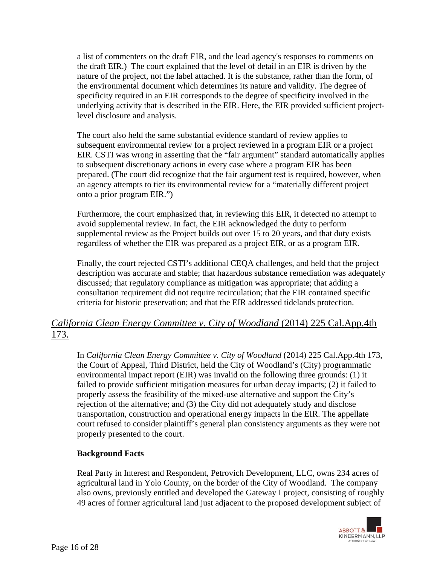a list of commenters on the draft EIR, and the lead agency's responses to comments on the draft EIR.) The court explained that the level of detail in an EIR is driven by the nature of the project, not the label attached. It is the substance, rather than the form, of the environmental document which determines its nature and validity. The degree of specificity required in an EIR corresponds to the degree of specificity involved in the underlying activity that is described in the EIR. Here, the EIR provided sufficient projectlevel disclosure and analysis.

The court also held the same substantial evidence standard of review applies to subsequent environmental review for a project reviewed in a program EIR or a project EIR. CSTI was wrong in asserting that the "fair argument" standard automatically applies to subsequent discretionary actions in every case where a program EIR has been prepared. (The court did recognize that the fair argument test is required, however, when an agency attempts to tier its environmental review for a "materially different project onto a prior program EIR.")

Furthermore, the court emphasized that, in reviewing this EIR, it detected no attempt to avoid supplemental review. In fact, the EIR acknowledged the duty to perform supplemental review as the Project builds out over 15 to 20 years, and that duty exists regardless of whether the EIR was prepared as a project EIR, or as a program EIR.

Finally, the court rejected CSTI's additional CEQA challenges, and held that the project description was accurate and stable; that hazardous substance remediation was adequately discussed; that regulatory compliance as mitigation was appropriate; that adding a consultation requirement did not require recirculation; that the EIR contained specific criteria for historic preservation; and that the EIR addressed tidelands protection.

# *California Clean Energy Committee v. City of Woodland* (2014) 225 Cal.App.4th 173.

In *California Clean Energy Committee v. City of Woodland* (2014) 225 Cal.App.4th 173, the Court of Appeal, Third District, held the City of Woodland's (City) programmatic environmental impact report (EIR) was invalid on the following three grounds: (1) it failed to provide sufficient mitigation measures for urban decay impacts; (2) it failed to properly assess the feasibility of the mixed-use alternative and support the City's rejection of the alternative; and (3) the City did not adequately study and disclose transportation, construction and operational energy impacts in the EIR. The appellate court refused to consider plaintiff's general plan consistency arguments as they were not properly presented to the court.

### **Background Facts**

Real Party in Interest and Respondent, Petrovich Development, LLC, owns 234 acres of agricultural land in Yolo County, on the border of the City of Woodland. The company also owns, previously entitled and developed the Gateway I project, consisting of roughly 49 acres of former agricultural land just adjacent to the proposed development subject of

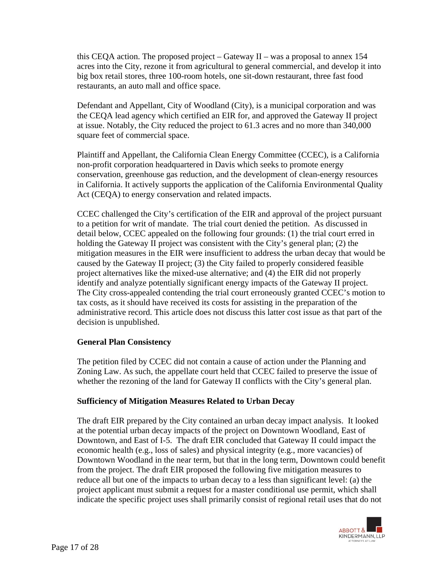this CEQA action. The proposed project – Gateway II – was a proposal to annex 154 acres into the City, rezone it from agricultural to general commercial, and develop it into big box retail stores, three 100-room hotels, one sit-down restaurant, three fast food restaurants, an auto mall and office space.

Defendant and Appellant, City of Woodland (City), is a municipal corporation and was the CEQA lead agency which certified an EIR for, and approved the Gateway II project at issue. Notably, the City reduced the project to 61.3 acres and no more than 340,000 square feet of commercial space.

Plaintiff and Appellant, the California Clean Energy Committee (CCEC), is a California non-profit corporation headquartered in Davis which seeks to promote energy conservation, greenhouse gas reduction, and the development of clean-energy resources in California. It actively supports the application of the California Environmental Quality Act (CEQA) to energy conservation and related impacts.

CCEC challenged the City's certification of the EIR and approval of the project pursuant to a petition for writ of mandate. The trial court denied the petition. As discussed in detail below, CCEC appealed on the following four grounds: (1) the trial court erred in holding the Gateway II project was consistent with the City's general plan; (2) the mitigation measures in the EIR were insufficient to address the urban decay that would be caused by the Gateway II project; (3) the City failed to properly considered feasible project alternatives like the mixed-use alternative; and (4) the EIR did not properly identify and analyze potentially significant energy impacts of the Gateway II project. The City cross-appealed contending the trial court erroneously granted CCEC's motion to tax costs, as it should have received its costs for assisting in the preparation of the administrative record. This article does not discuss this latter cost issue as that part of the decision is unpublished.

### **General Plan Consistency**

The petition filed by CCEC did not contain a cause of action under the Planning and Zoning Law. As such, the appellate court held that CCEC failed to preserve the issue of whether the rezoning of the land for Gateway II conflicts with the City's general plan.

#### **Sufficiency of Mitigation Measures Related to Urban Decay**

The draft EIR prepared by the City contained an urban decay impact analysis. It looked at the potential urban decay impacts of the project on Downtown Woodland, East of Downtown, and East of I-5. The draft EIR concluded that Gateway II could impact the economic health (e.g., loss of sales) and physical integrity (e.g., more vacancies) of Downtown Woodland in the near term, but that in the long term, Downtown could benefit from the project. The draft EIR proposed the following five mitigation measures to reduce all but one of the impacts to urban decay to a less than significant level: (a) the project applicant must submit a request for a master conditional use permit, which shall indicate the specific project uses shall primarily consist of regional retail uses that do not

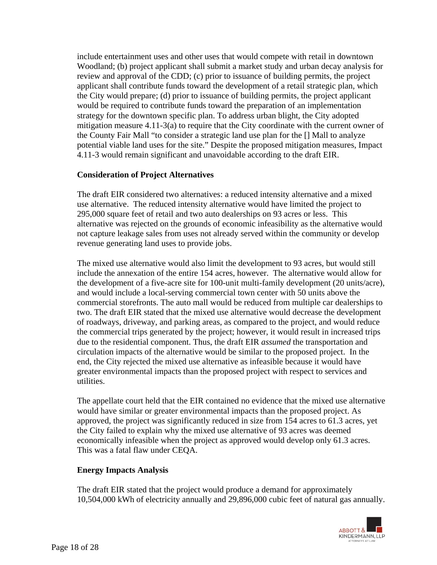include entertainment uses and other uses that would compete with retail in downtown Woodland; (b) project applicant shall submit a market study and urban decay analysis for review and approval of the CDD; (c) prior to issuance of building permits, the project applicant shall contribute funds toward the development of a retail strategic plan, which the City would prepare; (d) prior to issuance of building permits, the project applicant would be required to contribute funds toward the preparation of an implementation strategy for the downtown specific plan. To address urban blight, the City adopted mitigation measure 4.11-3(a) to require that the City coordinate with the current owner of the County Fair Mall "to consider a strategic land use plan for the [] Mall to analyze potential viable land uses for the site." Despite the proposed mitigation measures, Impact 4.11-3 would remain significant and unavoidable according to the draft EIR.

### **Consideration of Project Alternatives**

The draft EIR considered two alternatives: a reduced intensity alternative and a mixed use alternative. The reduced intensity alternative would have limited the project to 295,000 square feet of retail and two auto dealerships on 93 acres or less. This alternative was rejected on the grounds of economic infeasibility as the alternative would not capture leakage sales from uses not already served within the community or develop revenue generating land uses to provide jobs.

The mixed use alternative would also limit the development to 93 acres, but would still include the annexation of the entire 154 acres, however. The alternative would allow for the development of a five-acre site for 100-unit multi-family development (20 units/acre), and would include a local-serving commercial town center with 50 units above the commercial storefronts. The auto mall would be reduced from multiple car dealerships to two. The draft EIR stated that the mixed use alternative would decrease the development of roadways, driveway, and parking areas, as compared to the project, and would reduce the commercial trips generated by the project; however, it would result in increased trips due to the residential component. Thus, the draft EIR *assumed* the transportation and circulation impacts of the alternative would be similar to the proposed project. In the end, the City rejected the mixed use alternative as infeasible because it would have greater environmental impacts than the proposed project with respect to services and utilities.

The appellate court held that the EIR contained no evidence that the mixed use alternative would have similar or greater environmental impacts than the proposed project. As approved, the project was significantly reduced in size from 154 acres to 61.3 acres, yet the City failed to explain why the mixed use alternative of 93 acres was deemed economically infeasible when the project as approved would develop only 61.3 acres. This was a fatal flaw under CEQA.

#### **Energy Impacts Analysis**

The draft EIR stated that the project would produce a demand for approximately 10,504,000 kWh of electricity annually and 29,896,000 cubic feet of natural gas annually.

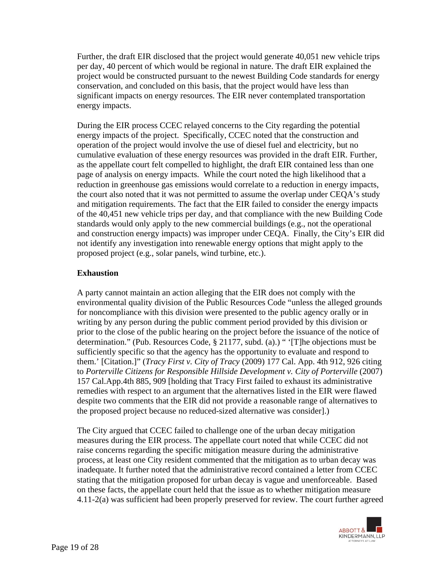Further, the draft EIR disclosed that the project would generate 40,051 new vehicle trips per day, 40 percent of which would be regional in nature. The draft EIR explained the project would be constructed pursuant to the newest Building Code standards for energy conservation, and concluded on this basis, that the project would have less than significant impacts on energy resources. The EIR never contemplated transportation energy impacts.

During the EIR process CCEC relayed concerns to the City regarding the potential energy impacts of the project. Specifically, CCEC noted that the construction and operation of the project would involve the use of diesel fuel and electricity, but no cumulative evaluation of these energy resources was provided in the draft EIR. Further, as the appellate court felt compelled to highlight, the draft EIR contained less than one page of analysis on energy impacts. While the court noted the high likelihood that a reduction in greenhouse gas emissions would correlate to a reduction in energy impacts, the court also noted that it was not permitted to assume the overlap under CEQA's study and mitigation requirements. The fact that the EIR failed to consider the energy impacts of the 40,451 new vehicle trips per day, and that compliance with the new Building Code standards would only apply to the new commercial buildings (e.g., not the operational and construction energy impacts) was improper under CEQA. Finally, the City's EIR did not identify any investigation into renewable energy options that might apply to the proposed project (e.g., solar panels, wind turbine, etc.).

### **Exhaustion**

A party cannot maintain an action alleging that the EIR does not comply with the environmental quality division of the Public Resources Code "unless the alleged grounds for noncompliance with this division were presented to the public agency orally or in writing by any person during the public comment period provided by this division or prior to the close of the public hearing on the project before the issuance of the notice of determination." (Pub. Resources Code, § 21177, subd. (a).) " '[T]he objections must be sufficiently specific so that the agency has the opportunity to evaluate and respond to them.' [Citation.]" (*Tracy First v. City of Tracy* (2009) 177 Cal. App. 4th 912, 926 citing to *Porterville Citizens for Responsible Hillside Development v. City of Porterville* (2007) 157 Cal.App.4th 885, 909 [holding that Tracy First failed to exhaust its administrative remedies with respect to an argument that the alternatives listed in the EIR were flawed despite two comments that the EIR did not provide a reasonable range of alternatives to the proposed project because no reduced-sized alternative was consider].)

The City argued that CCEC failed to challenge one of the urban decay mitigation measures during the EIR process. The appellate court noted that while CCEC did not raise concerns regarding the specific mitigation measure during the administrative process, at least one City resident commented that the mitigation as to urban decay was inadequate. It further noted that the administrative record contained a letter from CCEC stating that the mitigation proposed for urban decay is vague and unenforceable. Based on these facts, the appellate court held that the issue as to whether mitigation measure 4.11-2(a) was sufficient had been properly preserved for review. The court further agreed

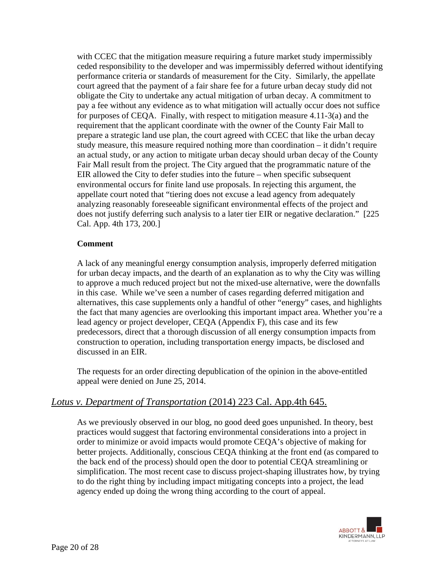with CCEC that the mitigation measure requiring a future market study impermissibly ceded responsibility to the developer and was impermissibly deferred without identifying performance criteria or standards of measurement for the City. Similarly, the appellate court agreed that the payment of a fair share fee for a future urban decay study did not obligate the City to undertake any actual mitigation of urban decay. A commitment to pay a fee without any evidence as to what mitigation will actually occur does not suffice for purposes of CEQA. Finally, with respect to mitigation measure 4.11-3(a) and the requirement that the applicant coordinate with the owner of the County Fair Mall to prepare a strategic land use plan, the court agreed with CCEC that like the urban decay study measure, this measure required nothing more than coordination – it didn't require an actual study, or any action to mitigate urban decay should urban decay of the County Fair Mall result from the project. The City argued that the programmatic nature of the EIR allowed the City to defer studies into the future – when specific subsequent environmental occurs for finite land use proposals. In rejecting this argument, the appellate court noted that "tiering does not excuse a lead agency from adequately analyzing reasonably foreseeable significant environmental effects of the project and does not justify deferring such analysis to a later tier EIR or negative declaration." [225 Cal. App. 4th 173, 200*.*]

### **Comment**

A lack of any meaningful energy consumption analysis, improperly deferred mitigation for urban decay impacts, and the dearth of an explanation as to why the City was willing to approve a much reduced project but not the mixed-use alternative, were the downfalls in this case. While we've seen a number of cases regarding deferred mitigation and alternatives, this case supplements only a handful of other "energy" cases, and highlights the fact that many agencies are overlooking this important impact area. Whether you're a lead agency or project developer, CEQA (Appendix F), this case and its few predecessors, direct that a thorough discussion of all energy consumption impacts from construction to operation, including transportation energy impacts, be disclosed and discussed in an EIR.

The requests for an order directing depublication of the opinion in the above-entitled appeal were denied on June 25, 2014.

## *Lotus v. Department of Transportation* (2014) 223 Cal. App.4th 645.

As we previously observed in our blog, no good deed goes unpunished. In theory, best practices would suggest that factoring environmental considerations into a project in order to minimize or avoid impacts would promote CEQA's objective of making for better projects. Additionally, conscious CEQA thinking at the front end (as compared to the back end of the process) should open the door to potential CEQA streamlining or simplification. The most recent case to discuss project-shaping illustrates how, by trying to do the right thing by including impact mitigating concepts into a project, the lead agency ended up doing the wrong thing according to the court of appeal.

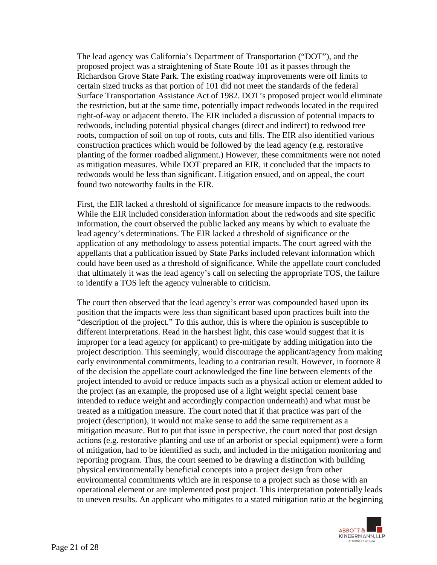The lead agency was California's Department of Transportation ("DOT"), and the proposed project was a straightening of State Route 101 as it passes through the Richardson Grove State Park. The existing roadway improvements were off limits to certain sized trucks as that portion of 101 did not meet the standards of the federal Surface Transportation Assistance Act of 1982. DOT's proposed project would eliminate the restriction, but at the same time, potentially impact redwoods located in the required right-of-way or adjacent thereto. The EIR included a discussion of potential impacts to redwoods, including potential physical changes (direct and indirect) to redwood tree roots, compaction of soil on top of roots, cuts and fills. The EIR also identified various construction practices which would be followed by the lead agency (e.g. restorative planting of the former roadbed alignment.) However, these commitments were not noted as mitigation measures. While DOT prepared an EIR, it concluded that the impacts to redwoods would be less than significant. Litigation ensued, and on appeal, the court found two noteworthy faults in the EIR.

First, the EIR lacked a threshold of significance for measure impacts to the redwoods. While the EIR included consideration information about the redwoods and site specific information, the court observed the public lacked any means by which to evaluate the lead agency's determinations. The EIR lacked a threshold of significance or the application of any methodology to assess potential impacts. The court agreed with the appellants that a publication issued by State Parks included relevant information which could have been used as a threshold of significance. While the appellate court concluded that ultimately it was the lead agency's call on selecting the appropriate TOS, the failure to identify a TOS left the agency vulnerable to criticism.

The court then observed that the lead agency's error was compounded based upon its position that the impacts were less than significant based upon practices built into the "description of the project." To this author, this is where the opinion is susceptible to different interpretations. Read in the harshest light, this case would suggest that it is improper for a lead agency (or applicant) to pre-mitigate by adding mitigation into the project description. This seemingly, would discourage the applicant/agency from making early environmental commitments, leading to a contrarian result. However, in footnote 8 of the decision the appellate court acknowledged the fine line between elements of the project intended to avoid or reduce impacts such as a physical action or element added to the project (as an example, the proposed use of a light weight special cement base intended to reduce weight and accordingly compaction underneath) and what must be treated as a mitigation measure. The court noted that if that practice was part of the project (description), it would not make sense to add the same requirement as a mitigation measure. But to put that issue in perspective, the court noted that post design actions (e.g. restorative planting and use of an arborist or special equipment) were a form of mitigation, had to be identified as such, and included in the mitigation monitoring and reporting program. Thus, the court seemed to be drawing a distinction with building physical environmentally beneficial concepts into a project design from other environmental commitments which are in response to a project such as those with an operational element or are implemented post project. This interpretation potentially leads to uneven results. An applicant who mitigates to a stated mitigation ratio at the beginning

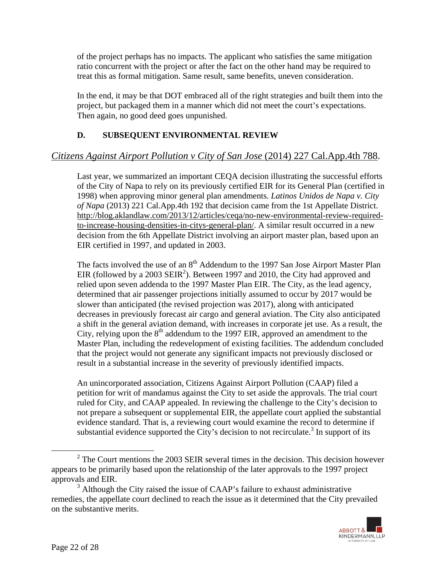of the project perhaps has no impacts. The applicant who satisfies the same mitigation ratio concurrent with the project or after the fact on the other hand may be required to treat this as formal mitigation. Same result, same benefits, uneven consideration.

In the end, it may be that DOT embraced all of the right strategies and built them into the project, but packaged them in a manner which did not meet the court's expectations. Then again, no good deed goes unpunished.

## **D. SUBSEQUENT ENVIRONMENTAL REVIEW**

# *Citizens Against Airport Pollution v City of San Jose* (2014) 227 Cal.App.4th 788.

Last year, we summarized an important CEQA decision illustrating the successful efforts of the City of Napa to rely on its previously certified EIR for its General Plan (certified in 1998) when approving minor general plan amendments. *Latinos Unidos de Napa v. City of Napa* (2013) 221 Cal.App.4th 192 that decision came from the 1st Appellate District. http://blog.aklandlaw.com/2013/12/articles/ceqa/no-new-environmental-review-requiredto-increase-housing-densities-in-citys-general-plan/. A similar result occurred in a new decision from the 6th Appellate District involving an airport master plan, based upon an EIR certified in 1997, and updated in 2003.

The facts involved the use of an 8<sup>th</sup> Addendum to the 1997 San Jose Airport Master Plan EIR (followed by a 2003 SEIR<sup>2</sup>). Between 1997 and 2010, the City had approved and relied upon seven addenda to the 1997 Master Plan EIR. The City, as the lead agency, determined that air passenger projections initially assumed to occur by 2017 would be slower than anticipated (the revised projection was 2017), along with anticipated decreases in previously forecast air cargo and general aviation. The City also anticipated a shift in the general aviation demand, with increases in corporate jet use. As a result, the City, relying upon the  $8<sup>th</sup>$  addendum to the 1997 EIR, approved an amendment to the Master Plan, including the redevelopment of existing facilities. The addendum concluded that the project would not generate any significant impacts not previously disclosed or result in a substantial increase in the severity of previously identified impacts.

An unincorporated association, Citizens Against Airport Pollution (CAAP) filed a petition for writ of mandamus against the City to set aside the approvals. The trial court ruled for City, and CAAP appealed. In reviewing the challenge to the City's decision to not prepare a subsequent or supplemental EIR, the appellate court applied the substantial evidence standard. That is, a reviewing court would examine the record to determine if substantial evidence supported the City's decision to not recirculate.<sup>3</sup> In support of its

 $3$  Although the City raised the issue of CAAP's failure to exhaust administrative remedies, the appellate court declined to reach the issue as it determined that the City prevailed on the substantive merits.



 <sup>2</sup>  $2^{\circ}$  The Court mentions the 2003 SEIR several times in the decision. This decision however appears to be primarily based upon the relationship of the later approvals to the 1997 project approvals and EIR.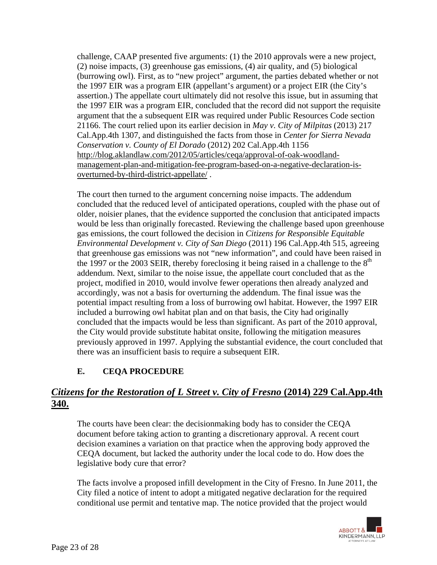challenge, CAAP presented five arguments: (1) the 2010 approvals were a new project, (2) noise impacts, (3) greenhouse gas emissions, (4) air quality, and (5) biological (burrowing owl). First, as to "new project" argument, the parties debated whether or not the 1997 EIR was a program EIR (appellant's argument) or a project EIR (the City's assertion.) The appellate court ultimately did not resolve this issue, but in assuming that the 1997 EIR was a program EIR, concluded that the record did not support the requisite argument that the a subsequent EIR was required under Public Resources Code section 21166. The court relied upon its earlier decision in *May v. City of Milpitas* (2013) 217 Cal.App.4th 1307, and distinguished the facts from those in *Center for Sierra Nevada Conservation v. County of El Dorado* (2012) 202 Cal.App.4th 1156 http://blog.aklandlaw.com/2012/05/articles/ceqa/approval-of-oak-woodlandmanagement-plan-and-mitigation-fee-program-based-on-a-negative-declaration-isoverturned-by-third-district-appellate/ .

The court then turned to the argument concerning noise impacts. The addendum concluded that the reduced level of anticipated operations, coupled with the phase out of older, noisier planes, that the evidence supported the conclusion that anticipated impacts would be less than originally forecasted. Reviewing the challenge based upon greenhouse gas emissions, the court followed the decision in *Citizens for Responsible Equitable Environmental Development v. City of San Diego* (2011) 196 Cal.App.4th 515, agreeing that greenhouse gas emissions was not "new information", and could have been raised in the 1997 or the 2003 SEIR, thereby foreclosing it being raised in a challenge to the  $8<sup>th</sup>$ addendum. Next, similar to the noise issue, the appellate court concluded that as the project, modified in 2010, would involve fewer operations then already analyzed and accordingly, was not a basis for overturning the addendum. The final issue was the potential impact resulting from a loss of burrowing owl habitat. However, the 1997 EIR included a burrowing owl habitat plan and on that basis, the City had originally concluded that the impacts would be less than significant. As part of the 2010 approval, the City would provide substitute habitat onsite, following the mitigation measures previously approved in 1997. Applying the substantial evidence, the court concluded that there was an insufficient basis to require a subsequent EIR.

## **E. CEQA PROCEDURE**

# *Citizens for the Restoration of L Street v. City of Fresno* **(2014) 229 Cal.App.4th 340.**

The courts have been clear: the decisionmaking body has to consider the CEQA document before taking action to granting a discretionary approval. A recent court decision examines a variation on that practice when the approving body approved the CEQA document, but lacked the authority under the local code to do. How does the legislative body cure that error?

The facts involve a proposed infill development in the City of Fresno. In June 2011, the City filed a notice of intent to adopt a mitigated negative declaration for the required conditional use permit and tentative map. The notice provided that the project would

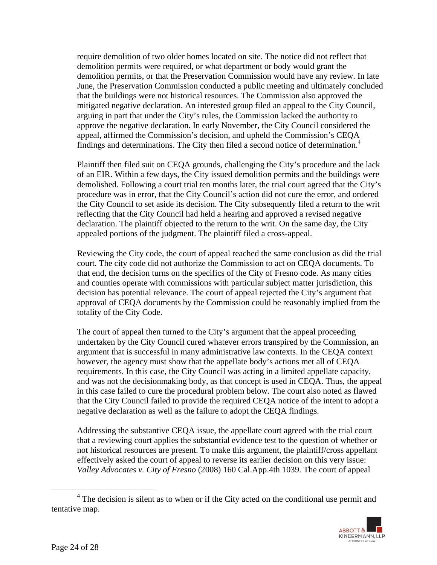require demolition of two older homes located on site. The notice did not reflect that demolition permits were required, or what department or body would grant the demolition permits, or that the Preservation Commission would have any review. In late June, the Preservation Commission conducted a public meeting and ultimately concluded that the buildings were not historical resources. The Commission also approved the mitigated negative declaration. An interested group filed an appeal to the City Council, arguing in part that under the City's rules, the Commission lacked the authority to approve the negative declaration. In early November, the City Council considered the appeal, affirmed the Commission's decision, and upheld the Commission's CEQA findings and determinations. The City then filed a second notice of determination.<sup>4</sup>

Plaintiff then filed suit on CEQA grounds, challenging the City's procedure and the lack of an EIR. Within a few days, the City issued demolition permits and the buildings were demolished. Following a court trial ten months later, the trial court agreed that the City's procedure was in error, that the City Council's action did not cure the error, and ordered the City Council to set aside its decision. The City subsequently filed a return to the writ reflecting that the City Council had held a hearing and approved a revised negative declaration. The plaintiff objected to the return to the writ. On the same day, the City appealed portions of the judgment. The plaintiff filed a cross-appeal.

Reviewing the City code, the court of appeal reached the same conclusion as did the trial court. The city code did not authorize the Commission to act on CEQA documents. To that end, the decision turns on the specifics of the City of Fresno code. As many cities and counties operate with commissions with particular subject matter jurisdiction, this decision has potential relevance. The court of appeal rejected the City's argument that approval of CEQA documents by the Commission could be reasonably implied from the totality of the City Code.

The court of appeal then turned to the City's argument that the appeal proceeding undertaken by the City Council cured whatever errors transpired by the Commission, an argument that is successful in many administrative law contexts. In the CEQA context however, the agency must show that the appellate body's actions met all of CEQA requirements. In this case, the City Council was acting in a limited appellate capacity, and was not the decisionmaking body, as that concept is used in CEQA. Thus, the appeal in this case failed to cure the procedural problem below. The court also noted as flawed that the City Council failed to provide the required CEQA notice of the intent to adopt a negative declaration as well as the failure to adopt the CEQA findings.

Addressing the substantive CEQA issue, the appellate court agreed with the trial court that a reviewing court applies the substantial evidence test to the question of whether or not historical resources are present. To make this argument, the plaintiff/cross appellant effectively asked the court of appeal to reverse its earlier decision on this very issue: *Valley Advocates v. City of Fresno* (2008) 160 Cal.App.4th 1039. The court of appeal

 $\frac{1}{4}$  $4$  The decision is silent as to when or if the City acted on the conditional use permit and tentative map.

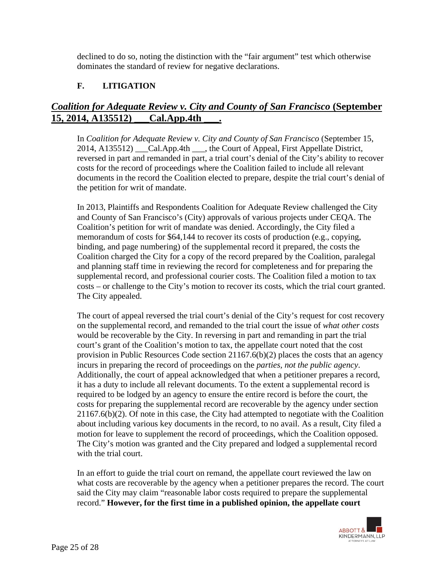declined to do so, noting the distinction with the "fair argument" test which otherwise dominates the standard of review for negative declarations.

## **F. LITIGATION**

# *Coalition for Adequate Review v. City and County of San Francisco* **(September 15, 2014, A135512) \_\_\_Cal.App.4th \_\_\_.**

In *Coalition for Adequate Review v. City and County of San Francisco* (September 15, 2014, A135512) Cal.App.4th \_\_\_, the Court of Appeal, First Appellate District, reversed in part and remanded in part, a trial court's denial of the City's ability to recover costs for the record of proceedings where the Coalition failed to include all relevant documents in the record the Coalition elected to prepare, despite the trial court's denial of the petition for writ of mandate.

In 2013, Plaintiffs and Respondents Coalition for Adequate Review challenged the City and County of San Francisco's (City) approvals of various projects under CEQA. The Coalition's petition for writ of mandate was denied. Accordingly, the City filed a memorandum of costs for \$64,144 to recover its costs of production (e.g., copying, binding, and page numbering) of the supplemental record it prepared, the costs the Coalition charged the City for a copy of the record prepared by the Coalition, paralegal and planning staff time in reviewing the record for completeness and for preparing the supplemental record, and professional courier costs. The Coalition filed a motion to tax costs – or challenge to the City's motion to recover its costs, which the trial court granted. The City appealed.

The court of appeal reversed the trial court's denial of the City's request for cost recovery on the supplemental record, and remanded to the trial court the issue of *what other costs* would be recoverable by the City. In reversing in part and remanding in part the trial court's grant of the Coalition's motion to tax, the appellate court noted that the cost provision in Public Resources Code section 21167.6(b)(2) places the costs that an agency incurs in preparing the record of proceedings on the *parties, not the public agency*. Additionally, the court of appeal acknowledged that when a petitioner prepares a record, it has a duty to include all relevant documents. To the extent a supplemental record is required to be lodged by an agency to ensure the entire record is before the court, the costs for preparing the supplemental record are recoverable by the agency under section 21167.6(b)(2). Of note in this case, the City had attempted to negotiate with the Coalition about including various key documents in the record, to no avail. As a result, City filed a motion for leave to supplement the record of proceedings, which the Coalition opposed. The City's motion was granted and the City prepared and lodged a supplemental record with the trial court.

In an effort to guide the trial court on remand, the appellate court reviewed the law on what costs are recoverable by the agency when a petitioner prepares the record. The court said the City may claim "reasonable labor costs required to prepare the supplemental record." **However, for the first time in a published opinion, the appellate court** 

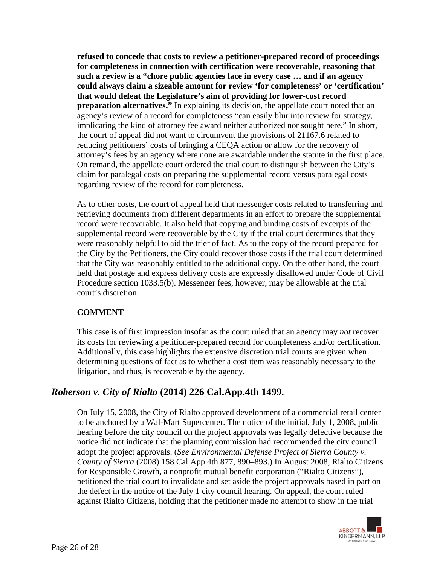**refused to concede that costs to review a petitioner-prepared record of proceedings for completeness in connection with certification were recoverable, reasoning that such a review is a "chore public agencies face in every case … and if an agency could always claim a sizeable amount for review 'for completeness' or 'certification' that would defeat the Legislature's aim of providing for lower-cost record preparation alternatives."** In explaining its decision, the appellate court noted that an agency's review of a record for completeness "can easily blur into review for strategy, implicating the kind of attorney fee award neither authorized nor sought here." In short, the court of appeal did not want to circumvent the provisions of 21167.6 related to reducing petitioners' costs of bringing a CEQA action or allow for the recovery of attorney's fees by an agency where none are awardable under the statute in the first place. On remand, the appellate court ordered the trial court to distinguish between the City's claim for paralegal costs on preparing the supplemental record versus paralegal costs regarding review of the record for completeness.

As to other costs, the court of appeal held that messenger costs related to transferring and retrieving documents from different departments in an effort to prepare the supplemental record were recoverable. It also held that copying and binding costs of excerpts of the supplemental record were recoverable by the City if the trial court determines that they were reasonably helpful to aid the trier of fact. As to the copy of the record prepared for the City by the Petitioners, the City could recover those costs if the trial court determined that the City was reasonably entitled to the additional copy. On the other hand, the court held that postage and express delivery costs are expressly disallowed under Code of Civil Procedure section 1033.5(b). Messenger fees, however, may be allowable at the trial court's discretion.

### **COMMENT**

This case is of first impression insofar as the court ruled that an agency may *not* recover its costs for reviewing a petitioner-prepared record for completeness and/or certification. Additionally, this case highlights the extensive discretion trial courts are given when determining questions of fact as to whether a cost item was reasonably necessary to the litigation, and thus, is recoverable by the agency.

# *Roberson v. City of Rialto* **(2014) 226 Cal.App.4th 1499.**

On July 15, 2008, the City of Rialto approved development of a commercial retail center to be anchored by a Wal-Mart Supercenter. The notice of the initial, July 1, 2008, public hearing before the city council on the project approvals was legally defective because the notice did not indicate that the planning commission had recommended the city council adopt the project approvals. (*See Environmental Defense Project of Sierra County v. County of Sierra* (2008) 158 Cal.App.4th 877, 890–893.) In August 2008, Rialto Citizens for Responsible Growth, a nonprofit mutual benefit corporation ("Rialto Citizens"), petitioned the trial court to invalidate and set aside the project approvals based in part on the defect in the notice of the July 1 city council hearing. On appeal, the court ruled against Rialto Citizens, holding that the petitioner made no attempt to show in the trial

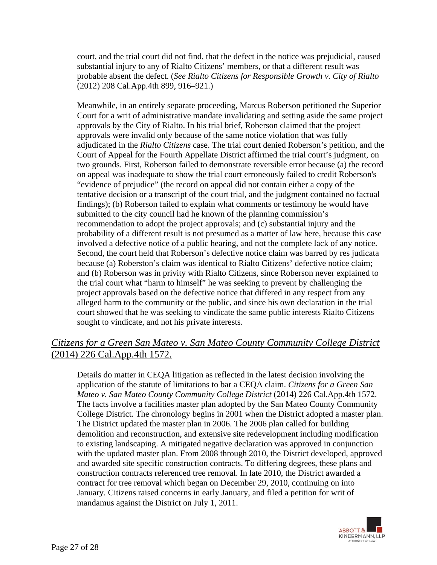court, and the trial court did not find, that the defect in the notice was prejudicial, caused substantial injury to any of Rialto Citizens' members, or that a different result was probable absent the defect. (*See Rialto Citizens for Responsible Growth v. City of Rialto*  (2012) 208 Cal.App.4th 899, 916–921.)

Meanwhile, in an entirely separate proceeding, Marcus Roberson petitioned the Superior Court for a writ of administrative mandate invalidating and setting aside the same project approvals by the City of Rialto. In his trial brief, Roberson claimed that the project approvals were invalid only because of the same notice violation that was fully adjudicated in the *Rialto Citizens* case. The trial court denied Roberson's petition, and the Court of Appeal for the Fourth Appellate District affirmed the trial court's judgment, on two grounds. First, Roberson failed to demonstrate reversible error because (a) the record on appeal was inadequate to show the trial court erroneously failed to credit Roberson's "evidence of prejudice" (the record on appeal did not contain either a copy of the tentative decision or a transcript of the court trial, and the judgment contained no factual findings); (b) Roberson failed to explain what comments or testimony he would have submitted to the city council had he known of the planning commission's recommendation to adopt the project approvals; and (c) substantial injury and the probability of a different result is not presumed as a matter of law here, because this case involved a defective notice of a public hearing, and not the complete lack of any notice. Second, the court held that Roberson's defective notice claim was barred by res judicata because (a) Roberston's claim was identical to Rialto Citizens' defective notice claim; and (b) Roberson was in privity with Rialto Citizens, since Roberson never explained to the trial court what "harm to himself" he was seeking to prevent by challenging the project approvals based on the defective notice that differed in any respect from any alleged harm to the community or the public, and since his own declaration in the trial court showed that he was seeking to vindicate the same public interests Rialto Citizens sought to vindicate, and not his private interests.

# *Citizens for a Green San Mateo v. San Mateo County Community College District* (2014) 226 Cal.App.4th 1572.

Details do matter in CEQA litigation as reflected in the latest decision involving the application of the statute of limitations to bar a CEQA claim. *Citizens for a Green San Mateo v. San Mateo County Community College District* (2014) 226 Cal.App.4th 1572. The facts involve a facilities master plan adopted by the San Mateo County Community College District. The chronology begins in 2001 when the District adopted a master plan. The District updated the master plan in 2006. The 2006 plan called for building demolition and reconstruction, and extensive site redevelopment including modification to existing landscaping. A mitigated negative declaration was approved in conjunction with the updated master plan. From 2008 through 2010, the District developed, approved and awarded site specific construction contracts. To differing degrees, these plans and construction contracts referenced tree removal. In late 2010, the District awarded a contract for tree removal which began on December 29, 2010, continuing on into January. Citizens raised concerns in early January, and filed a petition for writ of mandamus against the District on July 1, 2011.